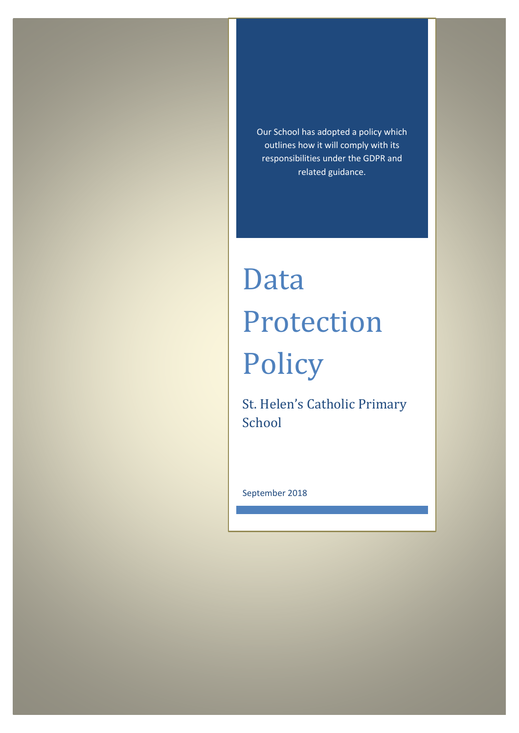Our School has adopted a policy which outlines how it will comply with its responsibilities under the GDPR and related guidance.

# Data Protection Policy

St. Helen's Catholic Primary School

September 2018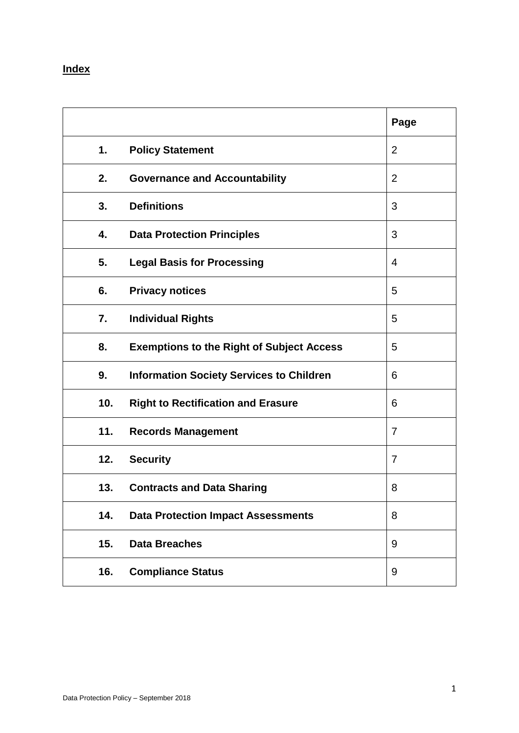## **Index**

|     |                                                  | Page |
|-----|--------------------------------------------------|------|
| 1.  | <b>Policy Statement</b>                          | 2    |
| 2.  | <b>Governance and Accountability</b>             | 2    |
| 3.  | <b>Definitions</b>                               | 3    |
| 4.  | <b>Data Protection Principles</b>                | 3    |
| 5.  | <b>Legal Basis for Processing</b>                | 4    |
| 6.  | <b>Privacy notices</b>                           | 5    |
| 7.  | <b>Individual Rights</b>                         | 5    |
| 8.  | <b>Exemptions to the Right of Subject Access</b> | 5    |
| 9.  | <b>Information Society Services to Children</b>  | 6    |
| 10. | <b>Right to Rectification and Erasure</b>        | 6    |
| 11. | <b>Records Management</b>                        | 7    |
| 12. | <b>Security</b>                                  | 7    |
| 13. | <b>Contracts and Data Sharing</b>                | 8    |
| 14. | <b>Data Protection Impact Assessments</b>        | 8    |
| 15. | <b>Data Breaches</b>                             | 9    |
| 16. | <b>Compliance Status</b>                         | 9    |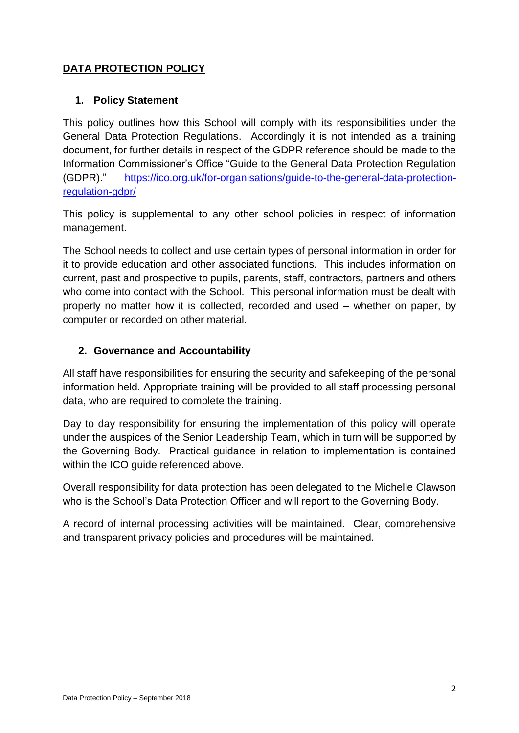## **DATA PROTECTION POLICY**

#### **1. Policy Statement**

This policy outlines how this School will comply with its responsibilities under the General Data Protection Regulations. Accordingly it is not intended as a training document, for further details in respect of the GDPR reference should be made to the Information Commissioner's Office "Guide to the General Data Protection Regulation (GDPR)." [https://ico.org.uk/for-organisations/guide-to-the-general-data-protection](https://ico.org.uk/for-organisations/guide-to-the-general-data-protection-regulation-gdpr/)[regulation-gdpr/](https://ico.org.uk/for-organisations/guide-to-the-general-data-protection-regulation-gdpr/)

This policy is supplemental to any other school policies in respect of information management.

The School needs to collect and use certain types of personal information in order for it to provide education and other associated functions. This includes information on current, past and prospective to pupils, parents, staff, contractors, partners and others who come into contact with the School. This personal information must be dealt with properly no matter how it is collected, recorded and used – whether on paper, by computer or recorded on other material.

#### **2. Governance and Accountability**

All staff have responsibilities for ensuring the security and safekeeping of the personal information held. Appropriate training will be provided to all staff processing personal data, who are required to complete the training.

Day to day responsibility for ensuring the implementation of this policy will operate under the auspices of the Senior Leadership Team, which in turn will be supported by the Governing Body. Practical guidance in relation to implementation is contained within the ICO guide referenced above.

Overall responsibility for data protection has been delegated to the Michelle Clawson who is the School's Data Protection Officer and will report to the Governing Body.

A record of internal processing activities will be maintained. Clear, comprehensive and transparent privacy policies and procedures will be maintained.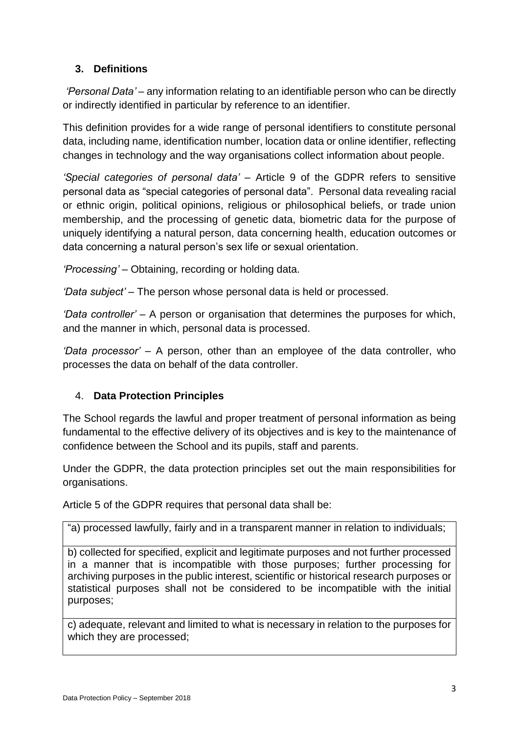## **3. Definitions**

*'Personal Data' –* any information relating to an identifiable person who can be directly or indirectly identified in particular by reference to an identifier.

This definition provides for a wide range of personal identifiers to constitute personal data, including name, identification number, location data or online identifier, reflecting changes in technology and the way organisations collect information about people.

*'Special categories of personal data'* – Article 9 of the GDPR refers to sensitive personal data as "special categories of personal data". Personal data revealing racial or ethnic origin, political opinions, religious or philosophical beliefs, or trade union membership, and the processing of genetic data, biometric data for the purpose of uniquely identifying a natural person, data concerning health, education outcomes or data concerning a natural person's sex life or sexual orientation.

*'Processing' –* Obtaining, recording or holding data.

*'Data subject' –* The person whose personal data is held or processed.

*'Data controller' –* A person or organisation that determines the purposes for which, and the manner in which, personal data is processed.

*'Data processor' –* A person, other than an employee of the data controller, who processes the data on behalf of the data controller.

## 4. **Data Protection Principles**

The School regards the lawful and proper treatment of personal information as being fundamental to the effective delivery of its objectives and is key to the maintenance of confidence between the School and its pupils, staff and parents.

Under the GDPR, the data protection principles set out the main responsibilities for organisations.

Article 5 of the GDPR requires that personal data shall be:

"a) processed lawfully, fairly and in a transparent manner in relation to individuals;

b) collected for specified, explicit and legitimate purposes and not further processed in a manner that is incompatible with those purposes; further processing for archiving purposes in the public interest, scientific or historical research purposes or statistical purposes shall not be considered to be incompatible with the initial purposes;

c) adequate, relevant and limited to what is necessary in relation to the purposes for which they are processed;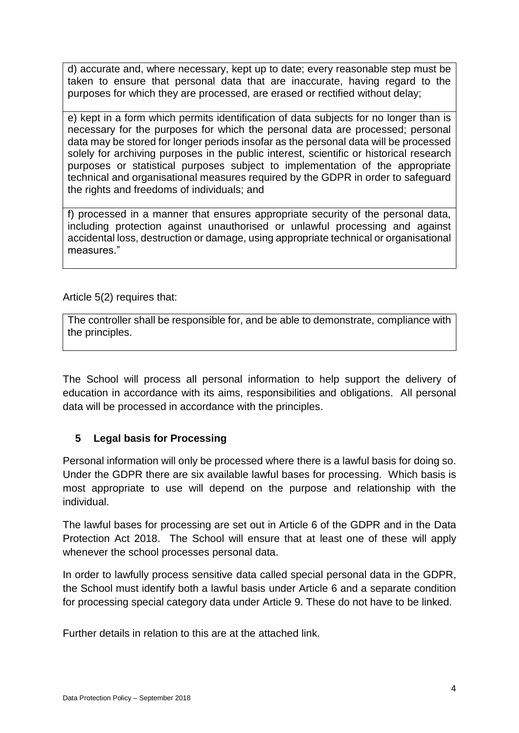d) accurate and, where necessary, kept up to date; every reasonable step must be taken to ensure that personal data that are inaccurate, having regard to the purposes for which they are processed, are erased or rectified without delay;

e) kept in a form which permits identification of data subjects for no longer than is necessary for the purposes for which the personal data are processed; personal data may be stored for longer periods insofar as the personal data will be processed solely for archiving purposes in the public interest, scientific or historical research purposes or statistical purposes subject to implementation of the appropriate technical and organisational measures required by the GDPR in order to safeguard the rights and freedoms of individuals; and

f) processed in a manner that ensures appropriate security of the personal data, including protection against unauthorised or unlawful processing and against accidental loss, destruction or damage, using appropriate technical or organisational measures."

Article 5(2) requires that:

The controller shall be responsible for, and be able to demonstrate, compliance with the principles.

The School will process all personal information to help support the delivery of education in accordance with its aims, responsibilities and obligations. All personal data will be processed in accordance with the principles.

#### **5 Legal basis for Processing**

Personal information will only be processed where there is a lawful basis for doing so. Under the GDPR there are six available lawful bases for processing. Which basis is most appropriate to use will depend on the purpose and relationship with the individual.

The lawful bases for processing are set out in Article 6 of the GDPR and in the Data Protection Act 2018. The School will ensure that at least one of these will apply whenever the school processes personal data.

In order to lawfully process sensitive data called special personal data in the GDPR, the School must identify both a lawful basis under Article 6 and a separate condition for processing special category data under Article 9. These do not have to be linked.

Further details in relation to this are at the attached link.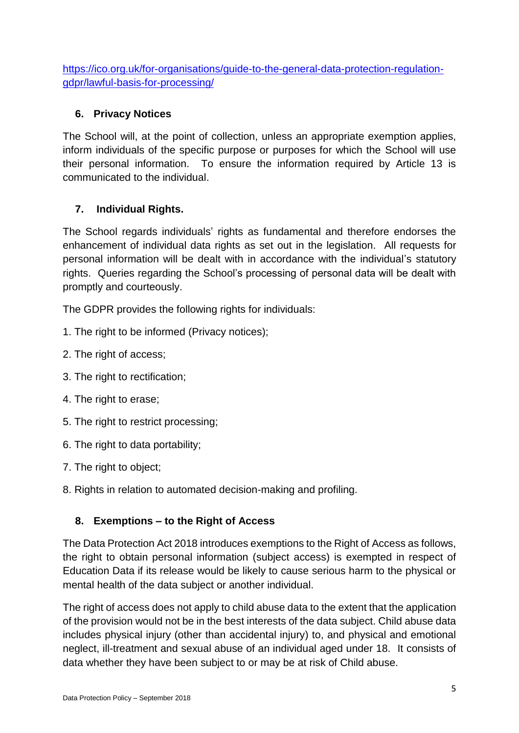[https://ico.org.uk/for-organisations/guide-to-the-general-data-protection-regulation](https://ico.org.uk/for-organisations/guide-to-the-general-data-protection-regulation-gdpr/lawful-basis-for-processing/)[gdpr/lawful-basis-for-processing/](https://ico.org.uk/for-organisations/guide-to-the-general-data-protection-regulation-gdpr/lawful-basis-for-processing/)

## **6. Privacy Notices**

The School will, at the point of collection, unless an appropriate exemption applies, inform individuals of the specific purpose or purposes for which the School will use their personal information. To ensure the information required by Article 13 is communicated to the individual.

## **7. Individual Rights.**

The School regards individuals' rights as fundamental and therefore endorses the enhancement of individual data rights as set out in the legislation. All requests for personal information will be dealt with in accordance with the individual's statutory rights. Queries regarding the School's processing of personal data will be dealt with promptly and courteously.

The GDPR provides the following rights for individuals:

- 1. The right to be informed (Privacy notices);
- 2. The right of access;
- 3. The right to rectification;
- 4. The right to erase;
- 5. The right to restrict processing;
- 6. The right to data portability;
- 7. The right to object;
- 8. Rights in relation to automated decision-making and profiling.

#### **8. Exemptions – to the Right of Access**

The Data Protection Act 2018 introduces exemptions to the Right of Access as follows, the right to obtain personal information (subject access) is exempted in respect of Education Data if its release would be likely to cause serious harm to the physical or mental health of the data subject or another individual.

The right of access does not apply to child abuse data to the extent that the application of the provision would not be in the best interests of the data subject. Child abuse data includes physical injury (other than accidental injury) to, and physical and emotional neglect, ill-treatment and sexual abuse of an individual aged under 18. It consists of data whether they have been subject to or may be at risk of Child abuse.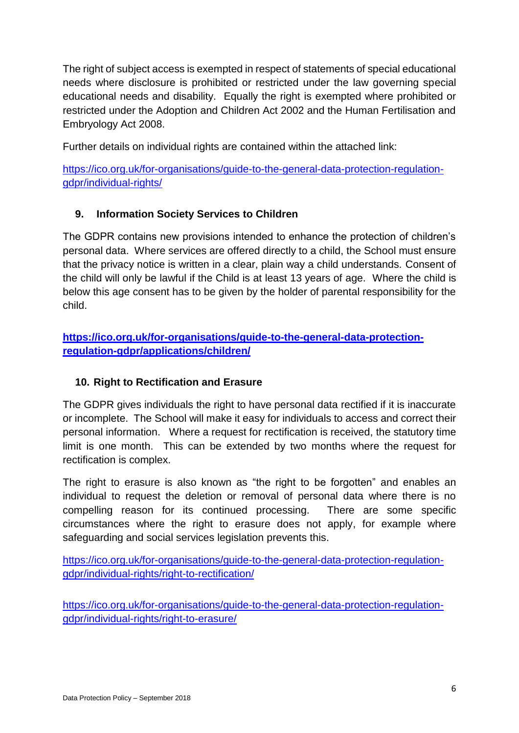The right of subject access is exempted in respect of statements of special educational needs where disclosure is prohibited or restricted under the law governing special educational needs and disability. Equally the right is exempted where prohibited or restricted under the Adoption and Children Act 2002 and the Human Fertilisation and Embryology Act 2008.

Further details on individual rights are contained within the attached link:

[https://ico.org.uk/for-organisations/guide-to-the-general-data-protection-regulation](https://ico.org.uk/for-organisations/guide-to-the-general-data-protection-regulation-gdpr/individual-rights/)[gdpr/individual-rights/](https://ico.org.uk/for-organisations/guide-to-the-general-data-protection-regulation-gdpr/individual-rights/)

## **9. Information Society Services to Children**

The GDPR contains new provisions intended to enhance the protection of children's personal data. Where services are offered directly to a child, the School must ensure that the privacy notice is written in a clear, plain way a child understands. Consent of the child will only be lawful if the Child is at least 13 years of age. Where the child is below this age consent has to be given by the holder of parental responsibility for the child.

**[https://ico.org.uk/for-organisations/guide-to-the-general-data-protection](https://ico.org.uk/for-organisations/guide-to-the-general-data-protection-regulation-gdpr/applications/children/)[regulation-gdpr/applications/children/](https://ico.org.uk/for-organisations/guide-to-the-general-data-protection-regulation-gdpr/applications/children/)**

#### **10. Right to Rectification and Erasure**

The GDPR gives individuals the right to have personal data rectified if it is inaccurate or incomplete. The School will make it easy for individuals to access and correct their personal information. Where a request for rectification is received, the statutory time limit is one month. This can be extended by two months where the request for rectification is complex.

The right to erasure is also known as "the right to be forgotten" and enables an individual to request the deletion or removal of personal data where there is no compelling reason for its continued processing. There are some specific circumstances where the right to erasure does not apply, for example where safeguarding and social services legislation prevents this.

[https://ico.org.uk/for-organisations/guide-to-the-general-data-protection-regulation](https://ico.org.uk/for-organisations/guide-to-the-general-data-protection-regulation-gdpr/individual-rights/right-to-rectification/)[gdpr/individual-rights/right-to-rectification/](https://ico.org.uk/for-organisations/guide-to-the-general-data-protection-regulation-gdpr/individual-rights/right-to-rectification/)

[https://ico.org.uk/for-organisations/guide-to-the-general-data-protection-regulation](https://ico.org.uk/for-organisations/guide-to-the-general-data-protection-regulation-gdpr/individual-rights/right-to-erasure/)[gdpr/individual-rights/right-to-erasure/](https://ico.org.uk/for-organisations/guide-to-the-general-data-protection-regulation-gdpr/individual-rights/right-to-erasure/)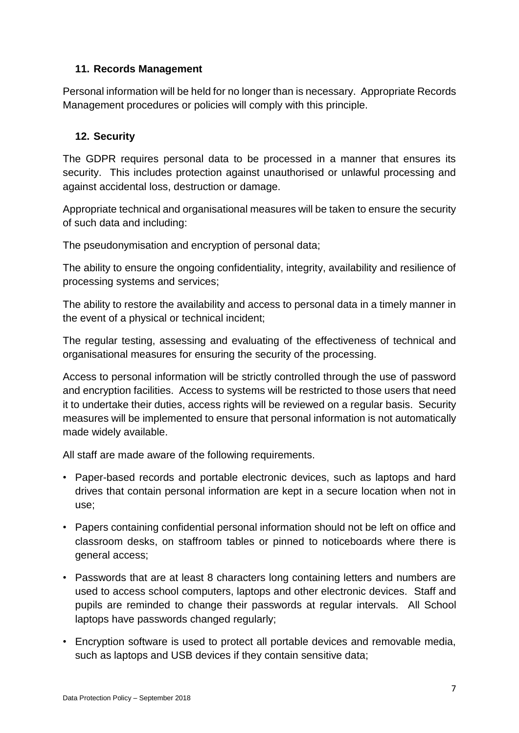#### **11. Records Management**

Personal information will be held for no longer than is necessary. Appropriate Records Management procedures or policies will comply with this principle.

#### **12. Security**

The GDPR requires personal data to be processed in a manner that ensures its security. This includes protection against unauthorised or unlawful processing and against accidental loss, destruction or damage.

Appropriate technical and organisational measures will be taken to ensure the security of such data and including:

The pseudonymisation and encryption of personal data;

The ability to ensure the ongoing confidentiality, integrity, availability and resilience of processing systems and services;

The ability to restore the availability and access to personal data in a timely manner in the event of a physical or technical incident;

The regular testing, assessing and evaluating of the effectiveness of technical and organisational measures for ensuring the security of the processing.

Access to personal information will be strictly controlled through the use of password and encryption facilities. Access to systems will be restricted to those users that need it to undertake their duties, access rights will be reviewed on a regular basis. Security measures will be implemented to ensure that personal information is not automatically made widely available.

All staff are made aware of the following requirements.

- Paper-based records and portable electronic devices, such as laptops and hard drives that contain personal information are kept in a secure location when not in use;
- Papers containing confidential personal information should not be left on office and classroom desks, on staffroom tables or pinned to noticeboards where there is general access;
- Passwords that are at least 8 characters long containing letters and numbers are used to access school computers, laptops and other electronic devices. Staff and pupils are reminded to change their passwords at regular intervals. All School laptops have passwords changed regularly;
- Encryption software is used to protect all portable devices and removable media, such as laptops and USB devices if they contain sensitive data;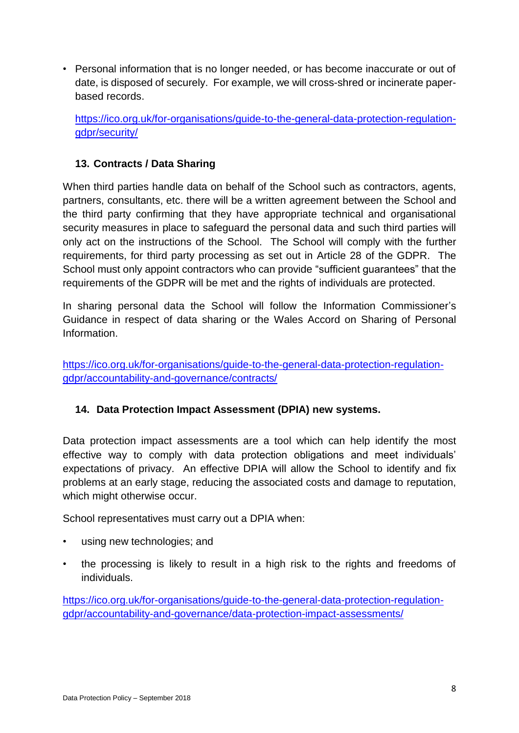• Personal information that is no longer needed, or has become inaccurate or out of date, is disposed of securely. For example, we will cross-shred or incinerate paperbased records.

[https://ico.org.uk/for-organisations/guide-to-the-general-data-protection-regulation](https://ico.org.uk/for-organisations/guide-to-the-general-data-protection-regulation-gdpr/security/)[gdpr/security/](https://ico.org.uk/for-organisations/guide-to-the-general-data-protection-regulation-gdpr/security/)

#### **13. Contracts / Data Sharing**

When third parties handle data on behalf of the School such as contractors, agents, partners, consultants, etc. there will be a written agreement between the School and the third party confirming that they have appropriate technical and organisational security measures in place to safeguard the personal data and such third parties will only act on the instructions of the School. The School will comply with the further requirements, for third party processing as set out in Article 28 of the GDPR. The School must only appoint contractors who can provide "sufficient guarantees" that the requirements of the GDPR will be met and the rights of individuals are protected.

In sharing personal data the School will follow the Information Commissioner's Guidance in respect of data sharing or the Wales Accord on Sharing of Personal Information.

[https://ico.org.uk/for-organisations/guide-to-the-general-data-protection-regulation](https://ico.org.uk/for-organisations/guide-to-the-general-data-protection-regulation-gdpr/accountability-and-governance/contracts/)[gdpr/accountability-and-governance/contracts/](https://ico.org.uk/for-organisations/guide-to-the-general-data-protection-regulation-gdpr/accountability-and-governance/contracts/)

#### **14. Data Protection Impact Assessment (DPIA) new systems.**

Data protection impact assessments are a tool which can help identify the most effective way to comply with data protection obligations and meet individuals' expectations of privacy. An effective DPIA will allow the School to identify and fix problems at an early stage, reducing the associated costs and damage to reputation, which might otherwise occur.

School representatives must carry out a DPIA when:

- using new technologies; and
- the processing is likely to result in a high risk to the rights and freedoms of individuals.

[https://ico.org.uk/for-organisations/guide-to-the-general-data-protection-regulation](https://ico.org.uk/for-organisations/guide-to-the-general-data-protection-regulation-gdpr/accountability-and-governance/data-protection-impact-assessments/)[gdpr/accountability-and-governance/data-protection-impact-assessments/](https://ico.org.uk/for-organisations/guide-to-the-general-data-protection-regulation-gdpr/accountability-and-governance/data-protection-impact-assessments/)